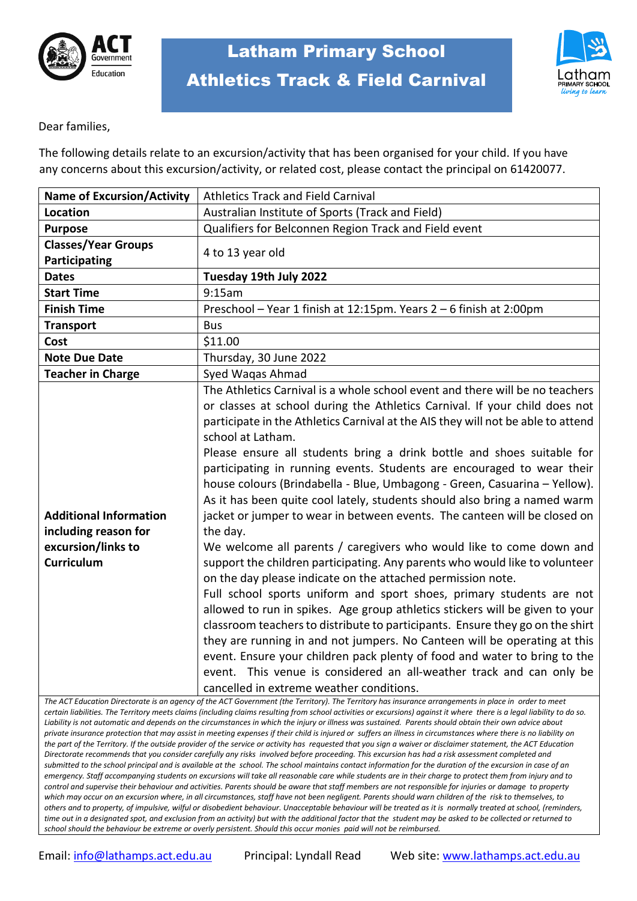



Dear families,

The following details relate to an excursion/activity that has been organised for your child. If you have any concerns about this excursion/activity, or related cost, please contact the principal on 61420077.

| <b>Name of Excursion/Activity</b>                                                                | <b>Athletics Track and Field Carnival</b>                                                                                                                                                                                                                                                                                                                                                                                                                                                                                                                                                                                                                                                                                                                                                                                                                                                                                                                                                                                                                                                                                                                                                                                                                                                                                              |  |
|--------------------------------------------------------------------------------------------------|----------------------------------------------------------------------------------------------------------------------------------------------------------------------------------------------------------------------------------------------------------------------------------------------------------------------------------------------------------------------------------------------------------------------------------------------------------------------------------------------------------------------------------------------------------------------------------------------------------------------------------------------------------------------------------------------------------------------------------------------------------------------------------------------------------------------------------------------------------------------------------------------------------------------------------------------------------------------------------------------------------------------------------------------------------------------------------------------------------------------------------------------------------------------------------------------------------------------------------------------------------------------------------------------------------------------------------------|--|
| <b>Location</b>                                                                                  | Australian Institute of Sports (Track and Field)                                                                                                                                                                                                                                                                                                                                                                                                                                                                                                                                                                                                                                                                                                                                                                                                                                                                                                                                                                                                                                                                                                                                                                                                                                                                                       |  |
| <b>Purpose</b>                                                                                   | Qualifiers for Belconnen Region Track and Field event                                                                                                                                                                                                                                                                                                                                                                                                                                                                                                                                                                                                                                                                                                                                                                                                                                                                                                                                                                                                                                                                                                                                                                                                                                                                                  |  |
| <b>Classes/Year Groups</b><br>Participating                                                      | 4 to 13 year old                                                                                                                                                                                                                                                                                                                                                                                                                                                                                                                                                                                                                                                                                                                                                                                                                                                                                                                                                                                                                                                                                                                                                                                                                                                                                                                       |  |
| <b>Dates</b>                                                                                     |                                                                                                                                                                                                                                                                                                                                                                                                                                                                                                                                                                                                                                                                                                                                                                                                                                                                                                                                                                                                                                                                                                                                                                                                                                                                                                                                        |  |
| <b>Start Time</b>                                                                                | Tuesday 19th July 2022<br>9:15am                                                                                                                                                                                                                                                                                                                                                                                                                                                                                                                                                                                                                                                                                                                                                                                                                                                                                                                                                                                                                                                                                                                                                                                                                                                                                                       |  |
|                                                                                                  |                                                                                                                                                                                                                                                                                                                                                                                                                                                                                                                                                                                                                                                                                                                                                                                                                                                                                                                                                                                                                                                                                                                                                                                                                                                                                                                                        |  |
| <b>Finish Time</b>                                                                               | Preschool - Year 1 finish at 12:15pm. Years 2 - 6 finish at 2:00pm                                                                                                                                                                                                                                                                                                                                                                                                                                                                                                                                                                                                                                                                                                                                                                                                                                                                                                                                                                                                                                                                                                                                                                                                                                                                     |  |
| <b>Transport</b>                                                                                 | <b>Bus</b>                                                                                                                                                                                                                                                                                                                                                                                                                                                                                                                                                                                                                                                                                                                                                                                                                                                                                                                                                                                                                                                                                                                                                                                                                                                                                                                             |  |
| Cost                                                                                             | \$11.00                                                                                                                                                                                                                                                                                                                                                                                                                                                                                                                                                                                                                                                                                                                                                                                                                                                                                                                                                                                                                                                                                                                                                                                                                                                                                                                                |  |
| <b>Note Due Date</b>                                                                             | Thursday, 30 June 2022                                                                                                                                                                                                                                                                                                                                                                                                                                                                                                                                                                                                                                                                                                                                                                                                                                                                                                                                                                                                                                                                                                                                                                                                                                                                                                                 |  |
| <b>Teacher in Charge</b>                                                                         | Syed Waqas Ahmad<br>The Athletics Carnival is a whole school event and there will be no teachers                                                                                                                                                                                                                                                                                                                                                                                                                                                                                                                                                                                                                                                                                                                                                                                                                                                                                                                                                                                                                                                                                                                                                                                                                                       |  |
| <b>Additional Information</b><br>including reason for<br>excursion/links to<br><b>Curriculum</b> | or classes at school during the Athletics Carnival. If your child does not<br>participate in the Athletics Carnival at the AIS they will not be able to attend<br>school at Latham.<br>Please ensure all students bring a drink bottle and shoes suitable for<br>participating in running events. Students are encouraged to wear their<br>house colours (Brindabella - Blue, Umbagong - Green, Casuarina - Yellow).<br>As it has been quite cool lately, students should also bring a named warm<br>jacket or jumper to wear in between events. The canteen will be closed on<br>the day.<br>We welcome all parents / caregivers who would like to come down and<br>support the children participating. Any parents who would like to volunteer<br>on the day please indicate on the attached permission note.<br>Full school sports uniform and sport shoes, primary students are not<br>allowed to run in spikes. Age group athletics stickers will be given to your<br>classroom teachers to distribute to participants. Ensure they go on the shirt<br>they are running in and not jumpers. No Canteen will be operating at this<br>event. Ensure your children pack plenty of food and water to bring to the<br>event. This venue is considered an all-weather track and can only be<br>cancelled in extreme weather conditions. |  |

*The ACT Education Directorate is an agency of the ACT Government (the Territory). The Territory has insurance arrangements in place in order to meet certain liabilities. The Territory meets claims (including claims resulting from school activities or excursions) against it where there is a legal liability to do so. Liability is not automatic and depends on the circumstances in which the injury or illness was sustained. Parents should obtain their own advice about private insurance protection that may assist in meeting expenses if their child is injured or suffers an illness in circumstances where there is no liability on the part of the Territory. If the outside provider of the service or activity has requested that you sign a waiver or disclaimer statement, the ACT Education Directorate recommends that you consider carefully any risks involved before proceeding. This excursion has had a risk assessment completed and submitted to the school principal and is available at the school. The school maintains contact information for the duration of the excursion in case of an emergency. Staff accompanying students on excursions will take all reasonable care while students are in their charge to protect them from injury and to control and supervise their behaviour and activities. Parents should be aware that staff members are not responsible for injuries or damage to property which may occur on an excursion where, in all circumstances, staff have not been negligent. Parents should warn children of the risk to themselves, to others and to property, of impulsive, wilful or disobedient behaviour. Unacceptable behaviour will be treated as it is normally treated at school, (reminders, time out in a designated spot, and exclusion from an activity) but with the additional factor that the student may be asked to be collected or returned to school should the behaviour be extreme or overly persistent. Should this occur monies paid will not be reimbursed.*